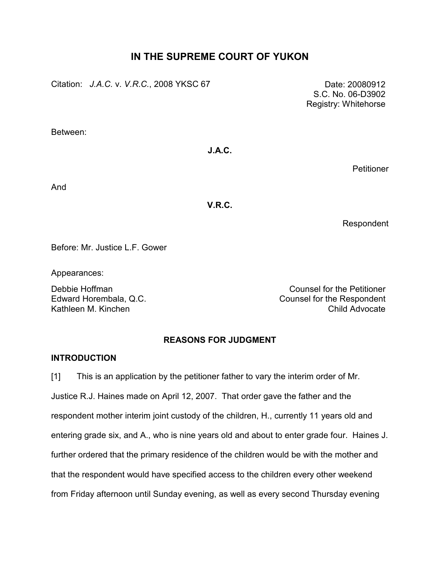# IN THE SUPREME COURT OF YUKON

Citation: J.A.C. v. V.R.C., 2008 YKSC 67 Date: 20080912

 S.C. No. 06-D3902 Registry: Whitehorse

Between:

## J.A.C.

**Petitioner** 

And

## V.R.C.

Respondent

Before: Mr. Justice L.F. Gower

Appearances:

Debbie Hoffman Counsel for the Petitioner Edward Horembala, Q.C. **Counsel for the Respondent** Kathleen M. Kinchen Child Advocate

## REASONS FOR JUDGMENT

## INTRODUCTION

[1] This is an application by the petitioner father to vary the interim order of Mr. Justice R.J. Haines made on April 12, 2007. That order gave the father and the respondent mother interim joint custody of the children, H., currently 11 years old and entering grade six, and A., who is nine years old and about to enter grade four. Haines J. further ordered that the primary residence of the children would be with the mother and that the respondent would have specified access to the children every other weekend from Friday afternoon until Sunday evening, as well as every second Thursday evening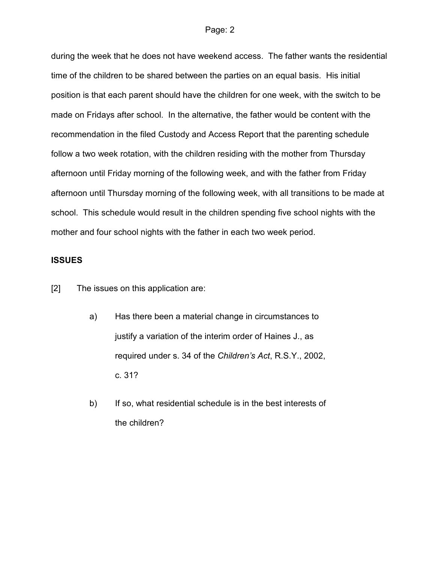during the week that he does not have weekend access. The father wants the residential time of the children to be shared between the parties on an equal basis. His initial position is that each parent should have the children for one week, with the switch to be made on Fridays after school. In the alternative, the father would be content with the recommendation in the filed Custody and Access Report that the parenting schedule follow a two week rotation, with the children residing with the mother from Thursday afternoon until Friday morning of the following week, and with the father from Friday afternoon until Thursday morning of the following week, with all transitions to be made at school. This schedule would result in the children spending five school nights with the mother and four school nights with the father in each two week period.

### ISSUES

[2] The issues on this application are:

- a) Has there been a material change in circumstances to justify a variation of the interim order of Haines J., as required under s. 34 of the Children's Act, R.S.Y., 2002, c. 31?
- b) If so, what residential schedule is in the best interests of the children?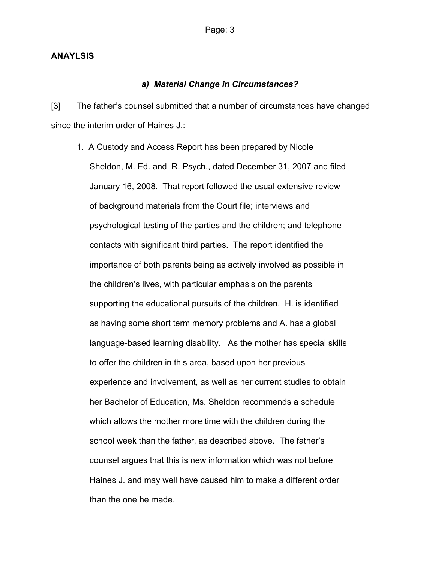### ANAYLSIS

### a) Material Change in Circumstances?

[3] The father's counsel submitted that a number of circumstances have changed since the interim order of Haines J.:

1. A Custody and Access Report has been prepared by Nicole Sheldon, M. Ed. and R. Psych., dated December 31, 2007 and filed January 16, 2008. That report followed the usual extensive review of background materials from the Court file; interviews and psychological testing of the parties and the children; and telephone contacts with significant third parties. The report identified the importance of both parents being as actively involved as possible in the children's lives, with particular emphasis on the parents supporting the educational pursuits of the children. H. is identified as having some short term memory problems and A. has a global language-based learning disability. As the mother has special skills to offer the children in this area, based upon her previous experience and involvement, as well as her current studies to obtain her Bachelor of Education, Ms. Sheldon recommends a schedule which allows the mother more time with the children during the school week than the father, as described above. The father's counsel argues that this is new information which was not before Haines J. and may well have caused him to make a different order than the one he made.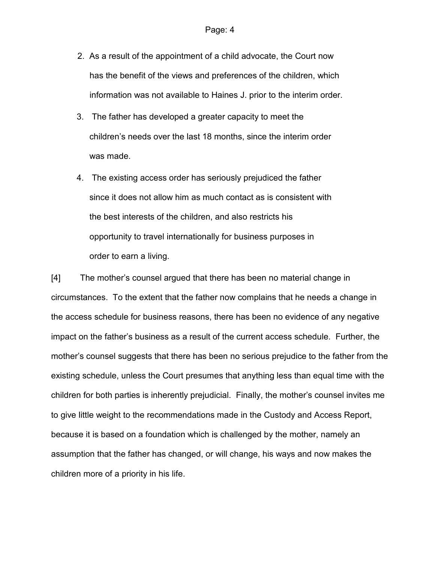- 2. As a result of the appointment of a child advocate, the Court now has the benefit of the views and preferences of the children, which information was not available to Haines J. prior to the interim order.
- 3. The father has developed a greater capacity to meet the children's needs over the last 18 months, since the interim order was made.
- 4. The existing access order has seriously prejudiced the father since it does not allow him as much contact as is consistent with the best interests of the children, and also restricts his opportunity to travel internationally for business purposes in order to earn a living.

[4] The mother's counsel argued that there has been no material change in circumstances. To the extent that the father now complains that he needs a change in the access schedule for business reasons, there has been no evidence of any negative impact on the father's business as a result of the current access schedule. Further, the mother's counsel suggests that there has been no serious prejudice to the father from the existing schedule, unless the Court presumes that anything less than equal time with the children for both parties is inherently prejudicial. Finally, the mother's counsel invites me to give little weight to the recommendations made in the Custody and Access Report, because it is based on a foundation which is challenged by the mother, namely an assumption that the father has changed, or will change, his ways and now makes the children more of a priority in his life.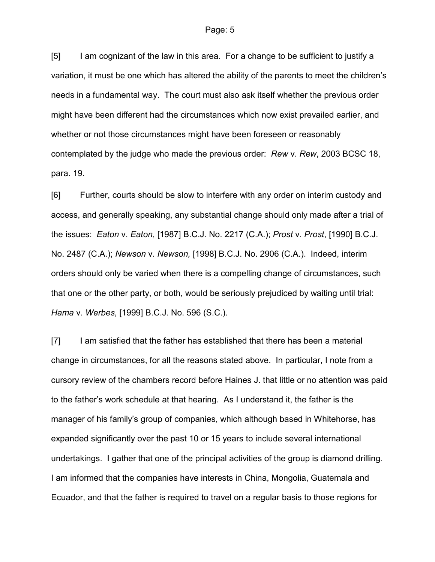[5] I am cognizant of the law in this area. For a change to be sufficient to justify a variation, it must be one which has altered the ability of the parents to meet the children's needs in a fundamental way. The court must also ask itself whether the previous order might have been different had the circumstances which now exist prevailed earlier, and whether or not those circumstances might have been foreseen or reasonably contemplated by the judge who made the previous order: Rew v. Rew, 2003 BCSC 18, para. 19.

[6] Further, courts should be slow to interfere with any order on interim custody and access, and generally speaking, any substantial change should only made after a trial of the issues: Eaton v. Eaton, [1987] B.C.J. No. 2217 (C.A.); Prost v. Prost, [1990] B.C.J. No. 2487 (C.A.); Newson v. Newson, [1998] B.C.J. No. 2906 (C.A.). Indeed, interim orders should only be varied when there is a compelling change of circumstances, such that one or the other party, or both, would be seriously prejudiced by waiting until trial: Hama v. Werbes, [1999] B.C.J. No. 596 (S.C.).

[7] I am satisfied that the father has established that there has been a material change in circumstances, for all the reasons stated above. In particular, I note from a cursory review of the chambers record before Haines J. that little or no attention was paid to the father's work schedule at that hearing. As I understand it, the father is the manager of his family's group of companies, which although based in Whitehorse, has expanded significantly over the past 10 or 15 years to include several international undertakings. I gather that one of the principal activities of the group is diamond drilling. I am informed that the companies have interests in China, Mongolia, Guatemala and Ecuador, and that the father is required to travel on a regular basis to those regions for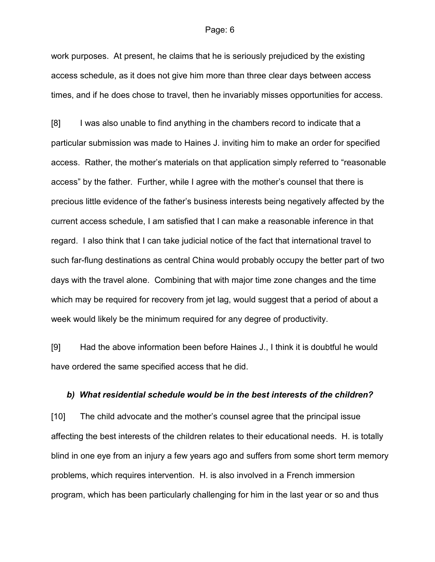work purposes. At present, he claims that he is seriously prejudiced by the existing access schedule, as it does not give him more than three clear days between access times, and if he does chose to travel, then he invariably misses opportunities for access.

[8] I was also unable to find anything in the chambers record to indicate that a particular submission was made to Haines J. inviting him to make an order for specified access. Rather, the mother's materials on that application simply referred to "reasonable access" by the father. Further, while I agree with the mother's counsel that there is precious little evidence of the father's business interests being negatively affected by the current access schedule, I am satisfied that I can make a reasonable inference in that regard. I also think that I can take judicial notice of the fact that international travel to such far-flung destinations as central China would probably occupy the better part of two days with the travel alone. Combining that with major time zone changes and the time which may be required for recovery from jet lag, would suggest that a period of about a week would likely be the minimum required for any degree of productivity.

[9] Had the above information been before Haines J., I think it is doubtful he would have ordered the same specified access that he did.

#### b) What residential schedule would be in the best interests of the children?

[10] The child advocate and the mother's counsel agree that the principal issue affecting the best interests of the children relates to their educational needs. H. is totally blind in one eye from an injury a few years ago and suffers from some short term memory problems, which requires intervention. H. is also involved in a French immersion program, which has been particularly challenging for him in the last year or so and thus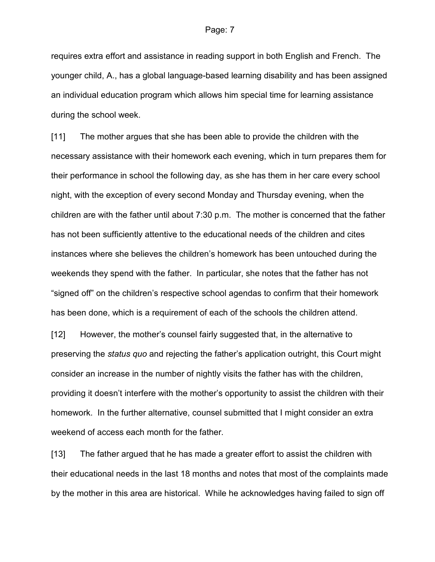requires extra effort and assistance in reading support in both English and French. The younger child, A., has a global language-based learning disability and has been assigned an individual education program which allows him special time for learning assistance during the school week.

[11] The mother argues that she has been able to provide the children with the necessary assistance with their homework each evening, which in turn prepares them for their performance in school the following day, as she has them in her care every school night, with the exception of every second Monday and Thursday evening, when the children are with the father until about 7:30 p.m. The mother is concerned that the father has not been sufficiently attentive to the educational needs of the children and cites instances where she believes the children's homework has been untouched during the weekends they spend with the father. In particular, she notes that the father has not "signed off" on the children's respective school agendas to confirm that their homework has been done, which is a requirement of each of the schools the children attend.

[12] However, the mother's counsel fairly suggested that, in the alternative to preserving the status quo and rejecting the father's application outright, this Court might consider an increase in the number of nightly visits the father has with the children, providing it doesn't interfere with the mother's opportunity to assist the children with their homework. In the further alternative, counsel submitted that I might consider an extra weekend of access each month for the father.

[13] The father argued that he has made a greater effort to assist the children with their educational needs in the last 18 months and notes that most of the complaints made by the mother in this area are historical. While he acknowledges having failed to sign off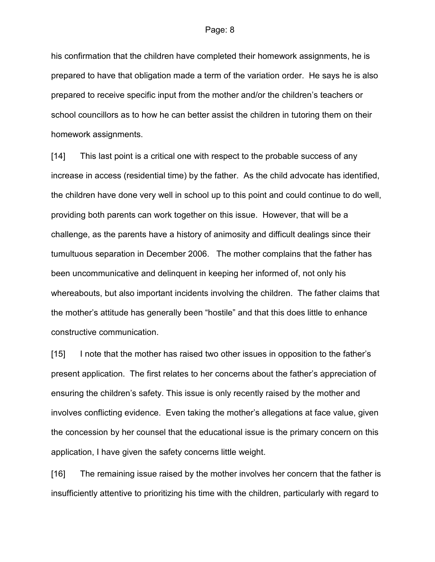his confirmation that the children have completed their homework assignments, he is prepared to have that obligation made a term of the variation order. He says he is also prepared to receive specific input from the mother and/or the children's teachers or school councillors as to how he can better assist the children in tutoring them on their homework assignments.

[14] This last point is a critical one with respect to the probable success of any increase in access (residential time) by the father. As the child advocate has identified, the children have done very well in school up to this point and could continue to do well, providing both parents can work together on this issue. However, that will be a challenge, as the parents have a history of animosity and difficult dealings since their tumultuous separation in December 2006. The mother complains that the father has been uncommunicative and delinquent in keeping her informed of, not only his whereabouts, but also important incidents involving the children. The father claims that the mother's attitude has generally been "hostile" and that this does little to enhance constructive communication.

[15] I note that the mother has raised two other issues in opposition to the father's present application. The first relates to her concerns about the father's appreciation of ensuring the children's safety. This issue is only recently raised by the mother and involves conflicting evidence. Even taking the mother's allegations at face value, given the concession by her counsel that the educational issue is the primary concern on this application, I have given the safety concerns little weight.

[16] The remaining issue raised by the mother involves her concern that the father is insufficiently attentive to prioritizing his time with the children, particularly with regard to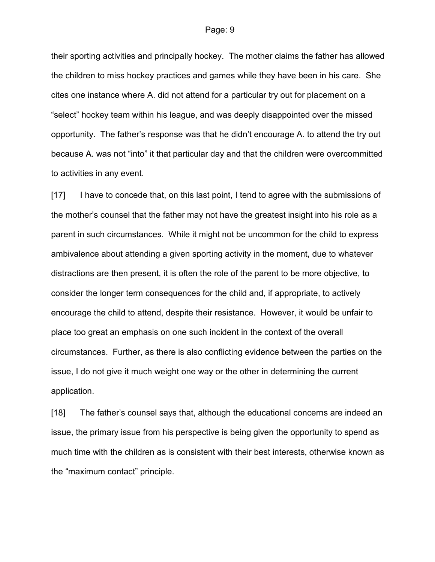their sporting activities and principally hockey. The mother claims the father has allowed the children to miss hockey practices and games while they have been in his care. She cites one instance where A. did not attend for a particular try out for placement on a "select" hockey team within his league, and was deeply disappointed over the missed opportunity. The father's response was that he didn't encourage A. to attend the try out because A. was not "into" it that particular day and that the children were overcommitted to activities in any event.

[17] I have to concede that, on this last point, I tend to agree with the submissions of the mother's counsel that the father may not have the greatest insight into his role as a parent in such circumstances. While it might not be uncommon for the child to express ambivalence about attending a given sporting activity in the moment, due to whatever distractions are then present, it is often the role of the parent to be more objective, to consider the longer term consequences for the child and, if appropriate, to actively encourage the child to attend, despite their resistance. However, it would be unfair to place too great an emphasis on one such incident in the context of the overall circumstances. Further, as there is also conflicting evidence between the parties on the issue, I do not give it much weight one way or the other in determining the current application.

[18] The father's counsel says that, although the educational concerns are indeed an issue, the primary issue from his perspective is being given the opportunity to spend as much time with the children as is consistent with their best interests, otherwise known as the "maximum contact" principle.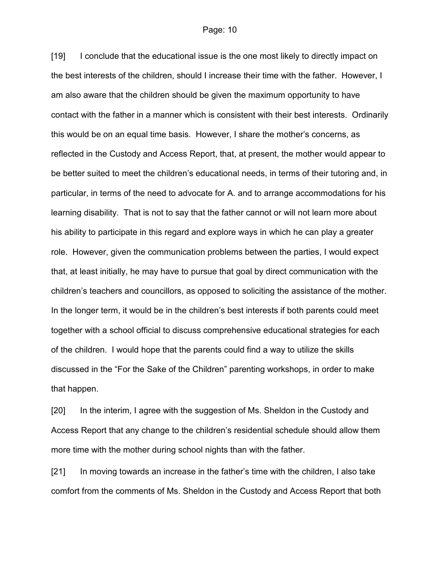[19] I conclude that the educational issue is the one most likely to directly impact on the best interests of the children, should I increase their time with the father. However, I am also aware that the children should be given the maximum opportunity to have contact with the father in a manner which is consistent with their best interests. Ordinarily this would be on an equal time basis. However, I share the mother's concerns, as reflected in the Custody and Access Report, that, at present, the mother would appear to be better suited to meet the children's educational needs, in terms of their tutoring and, in particular, in terms of the need to advocate for A. and to arrange accommodations for his learning disability. That is not to say that the father cannot or will not learn more about his ability to participate in this regard and explore ways in which he can play a greater role. However, given the communication problems between the parties, I would expect that, at least initially, he may have to pursue that goal by direct communication with the children's teachers and councillors, as opposed to soliciting the assistance of the mother. In the longer term, it would be in the children's best interests if both parents could meet together with a school official to discuss comprehensive educational strategies for each of the children. I would hope that the parents could find a way to utilize the skills discussed in the "For the Sake of the Children" parenting workshops, in order to make that happen.

[20] In the interim, I agree with the suggestion of Ms. Sheldon in the Custody and Access Report that any change to the children's residential schedule should allow them more time with the mother during school nights than with the father.

[21] In moving towards an increase in the father's time with the children, I also take comfort from the comments of Ms. Sheldon in the Custody and Access Report that both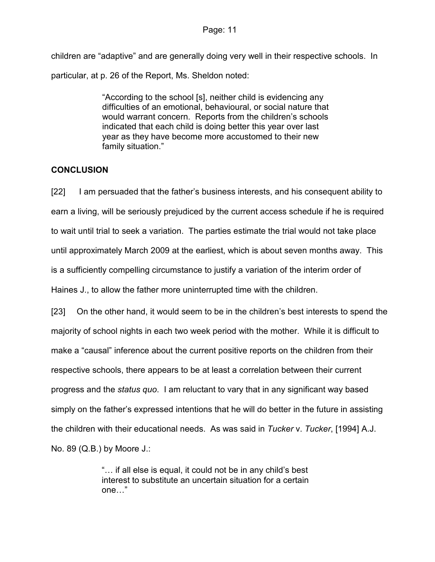children are "adaptive" and are generally doing very well in their respective schools. In particular, at p. 26 of the Report, Ms. Sheldon noted:

> "According to the school [s], neither child is evidencing any difficulties of an emotional, behavioural, or social nature that would warrant concern. Reports from the children's schools indicated that each child is doing better this year over last year as they have become more accustomed to their new family situation."

## **CONCLUSION**

[22] I am persuaded that the father's business interests, and his consequent ability to earn a living, will be seriously prejudiced by the current access schedule if he is required to wait until trial to seek a variation. The parties estimate the trial would not take place until approximately March 2009 at the earliest, which is about seven months away. This is a sufficiently compelling circumstance to justify a variation of the interim order of Haines J., to allow the father more uninterrupted time with the children.

[23] On the other hand, it would seem to be in the children's best interests to spend the majority of school nights in each two week period with the mother. While it is difficult to make a "causal" inference about the current positive reports on the children from their respective schools, there appears to be at least a correlation between their current progress and the status quo. I am reluctant to vary that in any significant way based simply on the father's expressed intentions that he will do better in the future in assisting the children with their educational needs. As was said in Tucker v. Tucker, [1994] A.J. No. 89 (Q.B.) by Moore J.:

> "… if all else is equal, it could not be in any child's best interest to substitute an uncertain situation for a certain one…"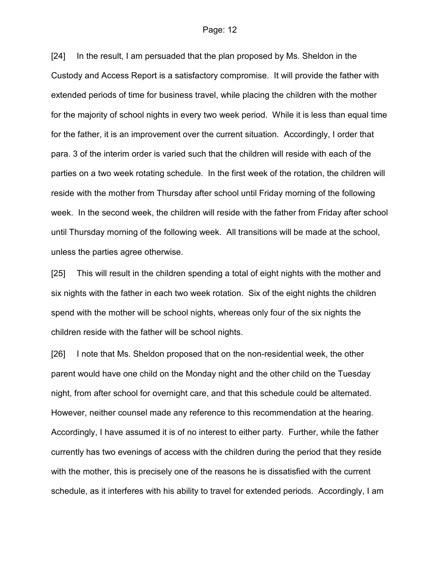[24] In the result, I am persuaded that the plan proposed by Ms. Sheldon in the Custody and Access Report is a satisfactory compromise. It will provide the father with extended periods of time for business travel, while placing the children with the mother for the majority of school nights in every two week period. While it is less than equal time for the father, it is an improvement over the current situation. Accordingly, I order that para. 3 of the interim order is varied such that the children will reside with each of the parties on a two week rotating schedule. In the first week of the rotation, the children will reside with the mother from Thursday after school until Friday morning of the following week. In the second week, the children will reside with the father from Friday after school until Thursday morning of the following week. All transitions will be made at the school, unless the parties agree otherwise.

[25] This will result in the children spending a total of eight nights with the mother and six nights with the father in each two week rotation. Six of the eight nights the children spend with the mother will be school nights, whereas only four of the six nights the children reside with the father will be school nights.

[26] I note that Ms. Sheldon proposed that on the non-residential week, the other parent would have one child on the Monday night and the other child on the Tuesday night, from after school for overnight care, and that this schedule could be alternated. However, neither counsel made any reference to this recommendation at the hearing. Accordingly, I have assumed it is of no interest to either party. Further, while the father currently has two evenings of access with the children during the period that they reside with the mother, this is precisely one of the reasons he is dissatisfied with the current schedule, as it interferes with his ability to travel for extended periods. Accordingly, I am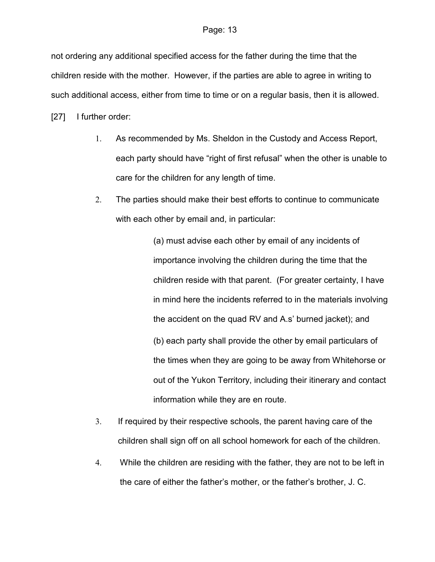not ordering any additional specified access for the father during the time that the children reside with the mother. However, if the parties are able to agree in writing to such additional access, either from time to time or on a regular basis, then it is allowed.

[27] I further order:

- 1. As recommended by Ms. Sheldon in the Custody and Access Report, each party should have "right of first refusal" when the other is unable to care for the children for any length of time.
- 2. The parties should make their best efforts to continue to communicate with each other by email and, in particular:

(a) must advise each other by email of any incidents of importance involving the children during the time that the children reside with that parent. (For greater certainty, I have in mind here the incidents referred to in the materials involving the accident on the quad RV and A.s' burned jacket); and (b) each party shall provide the other by email particulars of the times when they are going to be away from Whitehorse or out of the Yukon Territory, including their itinerary and contact information while they are en route.

- 3. If required by their respective schools, the parent having care of the children shall sign off on all school homework for each of the children.
- 4. While the children are residing with the father, they are not to be left in the care of either the father's mother, or the father's brother, J. C.